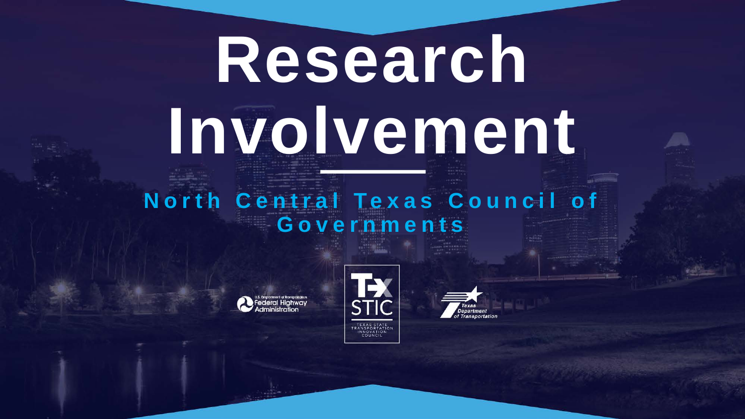# **Research Involvement**

# **North Central Texas Council of Governments**



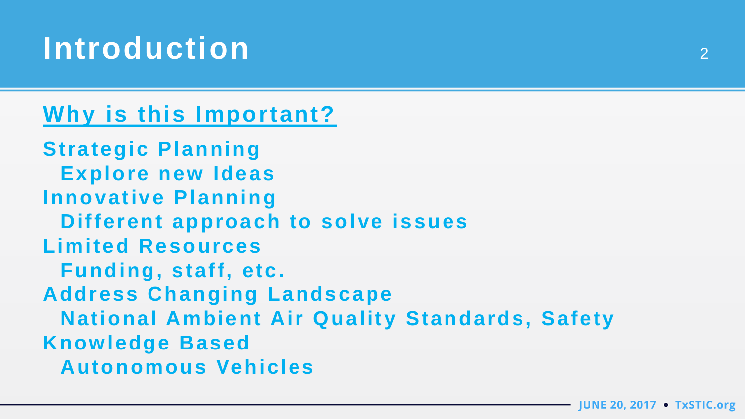# **Introduction** <sup>2</sup>

# **Why is this Important?**

**Strategic Planning Explore new Ideas Innovative Planning Different approach to solve issues Limited Resources Funding, staff, etc. Address Changing Landscape National Ambient Air Quality Standards, Safety Knowledge Based Autonomous Vehicles**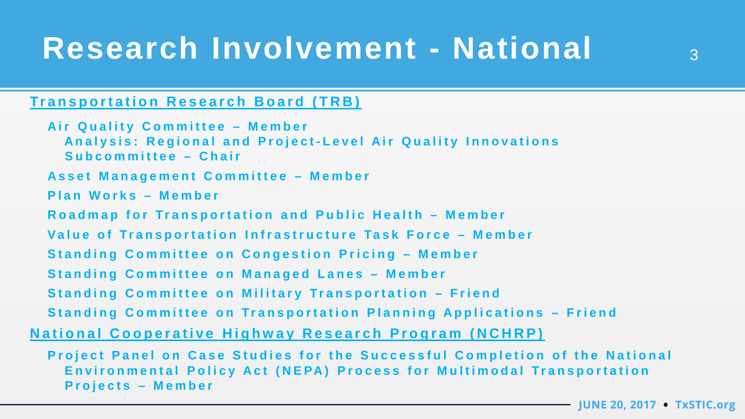# Research Involvement - National 3

#### **Transportation Research Board ( TRB )**

**Air Quality Committee – Member Analysis : Regional and Project - Level Air Quality Innovations Subcommittee – Chair Asset Management Committee – Member Plan Works – Member Roadmap for Transportation and Public Health – Member Value of Transportation Infrastructure Task Force – Member Standing Committee on Congestion Pricing – Member Standing Committee on Managed Lanes – Member Standing Committee on Military Transportation – Friend Standing Committee on Transportation Planning Applications – Friend National Cooperative Highway Research Program (NCHRP)**

**Project Panel on Case Studies for the Successful Completion of the National Environmental Policy Act (NEPA) Process for Multimodal Transportation Projects – Member**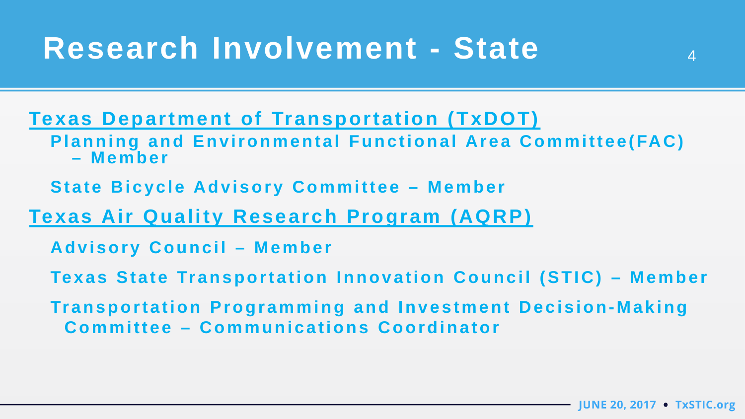**Texas Department of Transportation (TxDOT) Planning and Environmental Functional Area Committee(FAC) – Member**

**State Bicycle Advisory Committee – Member**

**Texas Air Quality Research Program (AQRP)**

**Advisory Council – Member**

**Texas State Transportation Innovation Council (STIC) – Member**

**Transportation Programming and Investment Decision-Making Committee – Communications Coordinator**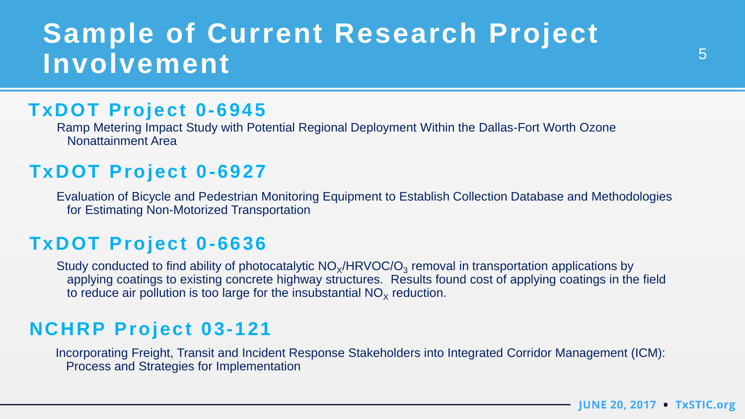# **Sample of Current Research Project**  Involvement 5

#### **TxDOT Project 0-6945**

Ramp Metering Impact Study with Potential Regional Deployment Within the Dallas-Fort Worth Ozone Nonattainment Area

## **TxDOT Project 0-6927**

Evaluation of Bicycle and Pedestrian Monitoring Equipment to Establish Collection Database and Methodologies for Estimating Non-Motorized Transportation

#### **TxDOT Project 0-6636**

Study conducted to find ability of photocatalytic  $NO<sub>x</sub>/HRVOC/O<sub>3</sub>$  removal in transportation applications by applying coatings to existing concrete highway structures. Results found cost of applying coatings in the field to reduce air pollution is too large for the insubstantial  $NO<sub>x</sub>$  reduction.

## **NCHRP Project 03-121**

Incorporating Freight, Transit and Incident Response Stakeholders into Integrated Corridor Management (ICM): Process and Strategies for Implementation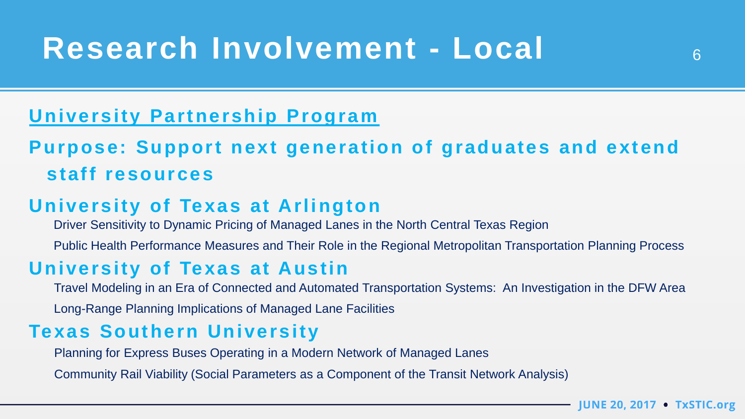# **Research Involvement - Local** <sup>6</sup>

# **University Partnership Program**

# **Purpose: Support next generation of graduates and extend staff resources**

## **University of Texas at Arlington**

Driver Sensitivity to Dynamic Pricing of Managed Lanes in the North Central Texas Region

Public Health Performance Measures and Their Role in the Regional Metropolitan Transportation Planning Process

#### **University of Texas at Austin**

Travel Modeling in an Era of Connected and Automated Transportation Systems: An Investigation in the DFW Area

Long-Range Planning Implications of Managed Lane Facilities

## **Texas Southern University**

Planning for Express Buses Operating in a Modern Network of Managed Lanes

Community Rail Viability (Social Parameters as a Component of the Transit Network Analysis)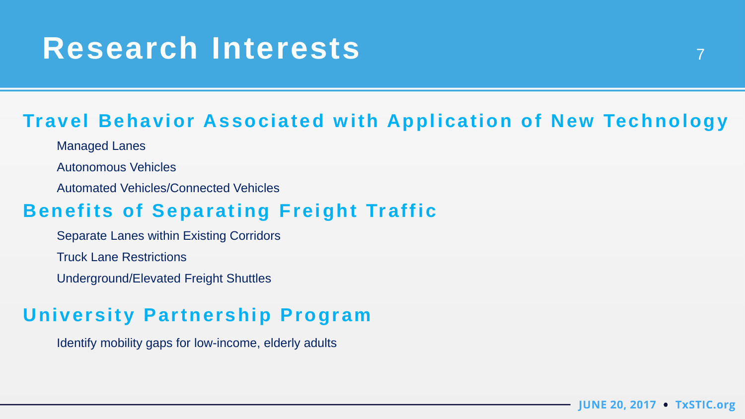# Research Interests 7

# **Travel Behavior Associated with Application of New Technology**

- Managed Lanes
- Autonomous Vehicles
- Automated Vehicles/Connected Vehicles

## **Benefits of Separating Freight Traffic**

- Separate Lanes within Existing Corridors
- Truck Lane Restrictions
- Underground/Elevated Freight Shuttles

# **University Partnership Program**

Identify mobility gaps for low-income, elderly adults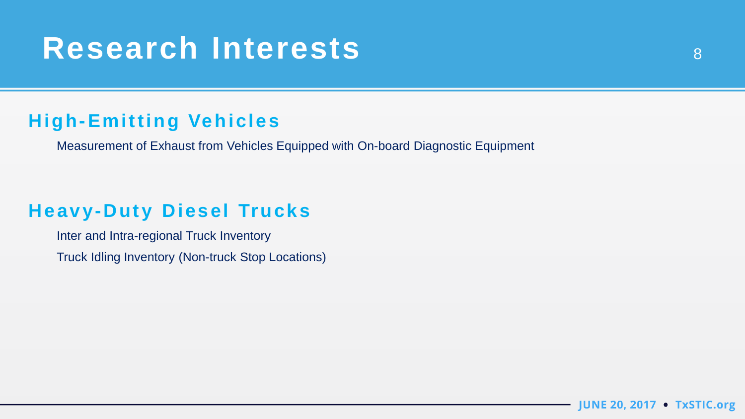# Research Interests and Bank and Bank and Bank and Bank and Bank and Bank and Bank and Bank and Bank and Bank and Bank and Bank and Bank and Bank and Bank and Bank and Bank and Bank and Bank and Bank and Bank and Bank and B

## **High-Emitting Vehicles**

Measurement of Exhaust from Vehicles Equipped with On-board Diagnostic Equipment

## **Heavy-Duty Diesel Trucks**

Inter and Intra-regional Truck Inventory Truck Idling Inventory (Non-truck Stop Locations)